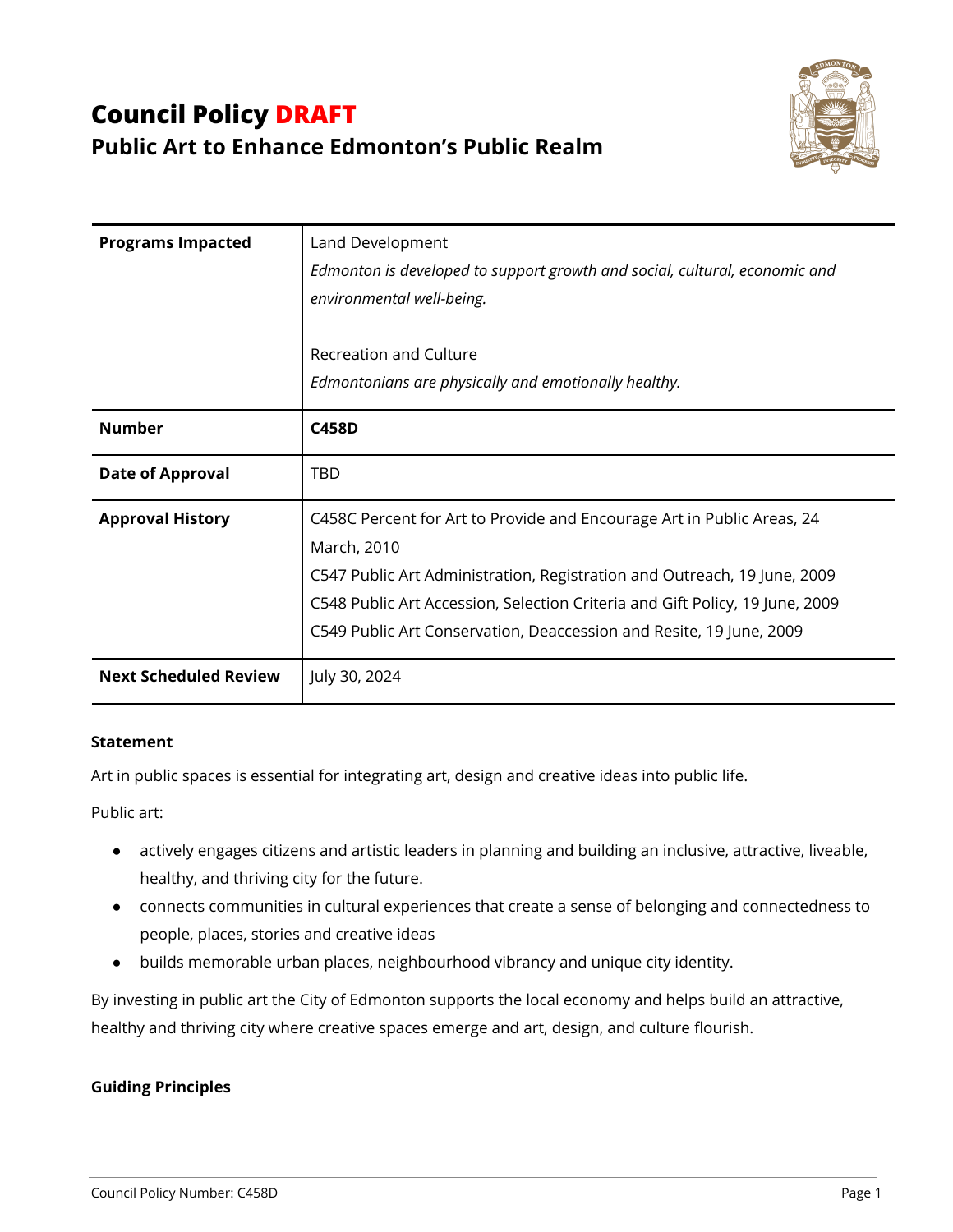# **Council Policy DRAFT Public Art to Enhance Edmonton's Public Realm**



| <b>Programs Impacted</b>     | Land Development<br>Edmonton is developed to support growth and social, cultural, economic and<br>environmental well-being.                                                                                                                                                                                              |
|------------------------------|--------------------------------------------------------------------------------------------------------------------------------------------------------------------------------------------------------------------------------------------------------------------------------------------------------------------------|
|                              | Recreation and Culture                                                                                                                                                                                                                                                                                                   |
|                              | Edmontonians are physically and emotionally healthy.                                                                                                                                                                                                                                                                     |
| <b>Number</b>                | <b>C458D</b>                                                                                                                                                                                                                                                                                                             |
| <b>Date of Approval</b>      | TBD                                                                                                                                                                                                                                                                                                                      |
| <b>Approval History</b>      | C458C Percent for Art to Provide and Encourage Art in Public Areas, 24<br>March, 2010<br>C547 Public Art Administration, Registration and Outreach, 19 June, 2009<br>C548 Public Art Accession, Selection Criteria and Gift Policy, 19 June, 2009<br>C549 Public Art Conservation, Deaccession and Resite, 19 June, 2009 |
| <b>Next Scheduled Review</b> | July 30, 2024                                                                                                                                                                                                                                                                                                            |

### **Statement**

Art in public spaces is essential for integrating art, design and creative ideas into public life.

Public art:

- actively engages citizens and artistic leaders in planning and building an inclusive, attractive, liveable, healthy, and thriving city for the future.
- connects communities in cultural experiences that create a sense of belonging and connectedness to people, places, stories and creative ideas
- builds memorable urban places, neighbourhood vibrancy and unique city identity.

By investing in public art the City of Edmonton supports the local economy and helps build an attractive, healthy and thriving city where creative spaces emerge and art, design, and culture flourish.

### **Guiding Principles**